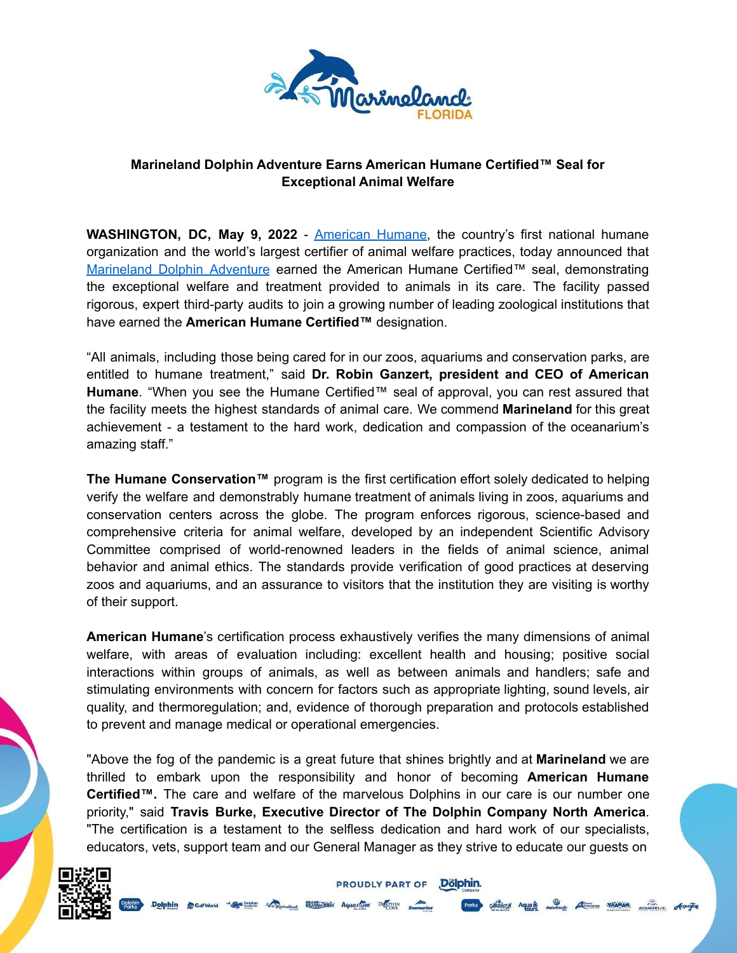

# **Marineland Dolphin Adventure Earns American Humane Certified™ Seal for Exceptional Animal Welfare**

**WASHINGTON, DC, May 9, 2022** - [American](http://www.americanhumane.org) Humane, the country's first national humane organization and the world's largest certifier of animal welfare practices, today announced that [Marineland](https://marineland.net/) Dolphin Adventure earned the American Humane Certified™ seal, demonstrating the exceptional welfare and treatment provided to animals in its care. The facility passed rigorous, expert third-party audits to join a growing number of leading zoological institutions that have earned the **American Humane Certified™** designation.

"All animals, including those being cared for in our zoos, aquariums and conservation parks, are entitled to humane treatment," said **Dr. Robin Ganzert, president and CEO of American Humane**. "When you see the Humane Certified™ seal of approval, you can rest assured that the facility meets the highest standards of animal care. We commend **Marineland** for this great achievement - a testament to the hard work, dedication and compassion of the oceanarium's amazing staff."

**The Humane Conservation™** program is the first certification effort solely dedicated to helping verify the welfare and demonstrably humane treatment of animals living in zoos, aquariums and conservation centers across the globe. The program enforces rigorous, science-based and comprehensive criteria for animal welfare, developed by an independent Scientific Advisory Committee comprised of world-renowned leaders in the fields of animal science, animal behavior and animal ethics. The standards provide verification of good practices at deserving zoos and aquariums, and an assurance to visitors that the institution they are visiting is worthy of their support.

**American Humane**'s certification process exhaustively verifies the many dimensions of animal welfare, with areas of evaluation including: excellent health and housing; positive social interactions within groups of animals, as well as between animals and handlers; safe and stimulating environments with concern for factors such as appropriate lighting, sound levels, air quality, and thermoregulation; and, evidence of thorough preparation and protocols established to prevent and manage medical or operational emergencies.

"Above the fog of the pandemic is a great future that shines brightly and at **Marineland** we are thrilled to embark upon the responsibility and honor of becoming **American Humane Certified™.** The care and welfare of the marvelous Dolphins in our care is our number one priority," said **Travis Burke, Executive Director of The Dolphin Company North America**. "The certification is a testament to the selfless dedication and hard work of our specialists, educators, vets, support team and our General Manager as they strive to educate our guests on

**PROUDLY PART OF** 

Dölphin.

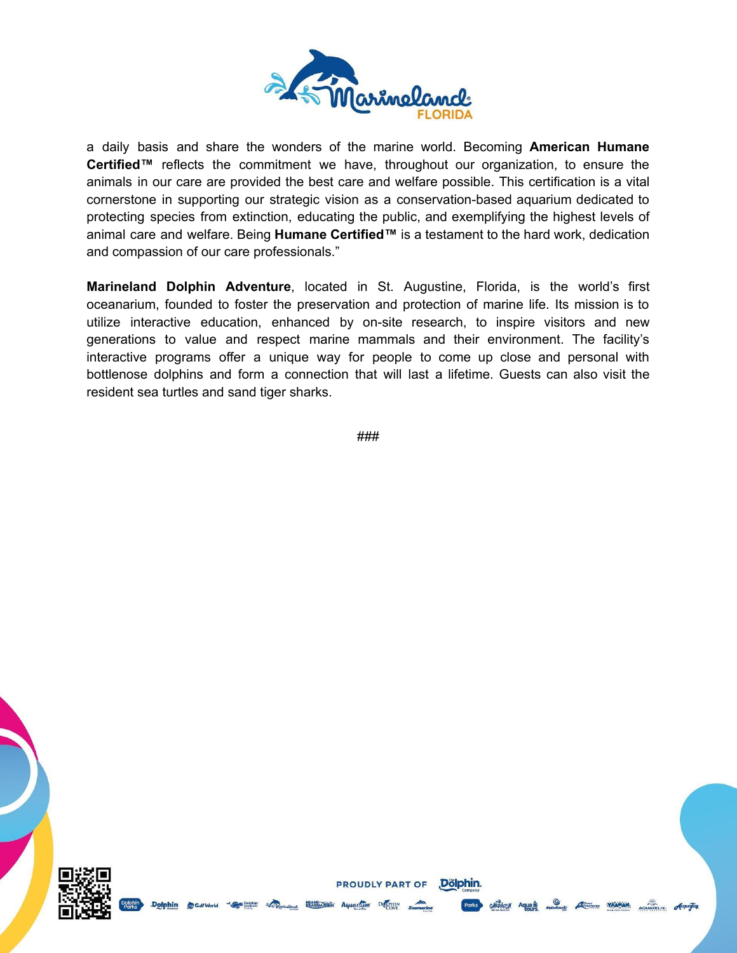

a daily basis and share the wonders of the marine world. Becoming **American Humane Certified™** reflects the commitment we have, throughout our organization, to ensure the animals in our care are provided the best care and welfare possible. This certification is a vital cornerstone in supporting our strategic vision as a conservation-based aquarium dedicated to protecting species from extinction, educating the public, and exemplifying the highest levels of animal care and welfare. Being **Humane Certified™** is a testament to the hard work, dedication and compassion of our care professionals."

**Marineland Dolphin Adventure**, located in St. Augustine, Florida, is the world's first oceanarium, founded to foster the preservation and protection of marine life. Its mission is to utilize interactive education, enhanced by on-site research, to inspire visitors and new generations to value and respect marine mammals and their environment. The facility's interactive programs offer a unique way for people to come up close and personal with bottlenose dolphins and form a connection that will last a lifetime. Guests can also visit the resident sea turtles and sand tiger sharks.

###